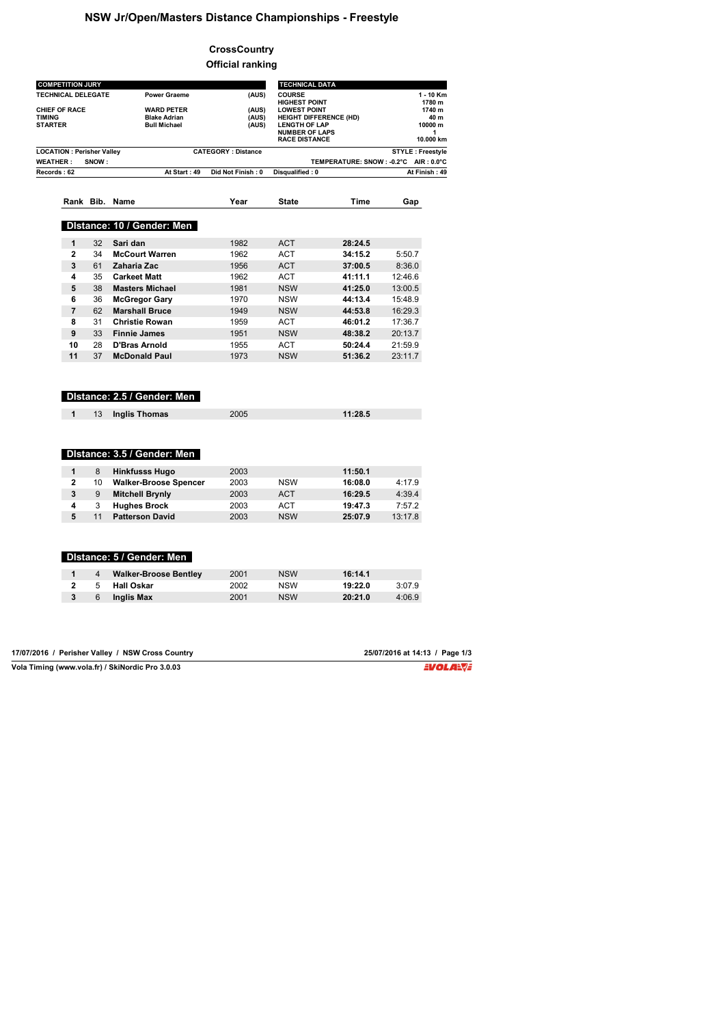## **NSW Jr/Open/Masters Distance Championships - Freestyle**

## **CrossCountry Official ranking**

| <b>COMPETITION JURY</b>                                                                                        |       |                              |                                       | <b>TECHNICAL DATA</b>                                |                               |                                         |
|----------------------------------------------------------------------------------------------------------------|-------|------------------------------|---------------------------------------|------------------------------------------------------|-------------------------------|-----------------------------------------|
| <b>TECHNICAL DELEGATE</b><br><b>Power Graeme</b><br><b>CHIEF OF RACE</b><br><b>WARD PETER</b><br><b>TIMING</b> |       | (AUS)                        | <b>COURSE</b><br><b>HIGHEST POINT</b> |                                                      | 1 - 10 Km<br>1780 m<br>1740 m |                                         |
|                                                                                                                |       | <b>Blake Adrian</b>          | (AUS)<br>(AUS)                        | <b>LOWEST POINT</b><br><b>HEIGHT DIFFERENCE (HD)</b> |                               | 40 m                                    |
| STARTER                                                                                                        |       | <b>Bull Michael</b>          | (AUS)                                 | <b>LENGTH OF LAP</b>                                 |                               | 10000 m                                 |
|                                                                                                                |       |                              |                                       | <b>NUMBER OF LAPS</b><br><b>RACE DISTANCE</b>        |                               | 1<br>10.000 km                          |
| <b>LOCATION: Perisher Valley</b>                                                                               |       | <b>CATEGORY: Distance</b>    |                                       |                                                      | <b>STYLE: Freestyle</b>       |                                         |
| <b>WEATHER:</b>                                                                                                | SNOW: |                              |                                       |                                                      |                               | TEMPERATURE: SNOW : - 0.2°C AIR : 0.0°C |
| Records: 62                                                                                                    |       | At Start: 49                 | Did Not Finish: 0                     | Disqualified: 0                                      |                               | At Finish: 49                           |
|                                                                                                                |       | Rank Bib. Name               | Year                                  | State                                                | Time                          | Gap                                     |
|                                                                                                                |       |                              |                                       |                                                      |                               |                                         |
|                                                                                                                |       | Distance: 10 / Gender: Men   |                                       |                                                      |                               |                                         |
| 1                                                                                                              | 32    | Sari dan                     | 1982                                  | <b>ACT</b>                                           | 28:24.5                       |                                         |
| 2                                                                                                              | 34    | <b>McCourt Warren</b>        | 1962                                  | <b>ACT</b>                                           | 34:15.2                       | 5:50.7                                  |
| 3                                                                                                              | 61    | Zaharia Zac                  | 1956                                  | <b>ACT</b>                                           | 37:00.5                       | 8:36.0                                  |
| 4                                                                                                              | 35    | <b>Carkeet Matt</b>          | 1962                                  | <b>ACT</b>                                           | 41:11.1                       | 12:46.6                                 |
| 5                                                                                                              | 38    | <b>Masters Michael</b>       | 1981                                  | <b>NSW</b>                                           | 41:25.0                       | 13:00.5                                 |
| 6                                                                                                              | 36    | <b>McGregor Gary</b>         | 1970                                  | <b>NSW</b>                                           | 44:13.4                       | 15:48.9                                 |
| $\overline{7}$                                                                                                 | 62    | <b>Marshall Bruce</b>        | 1949                                  | <b>NSW</b>                                           | 44:53.8                       | 16:29.3                                 |
| 8                                                                                                              | 31    | <b>Christie Rowan</b>        | 1959                                  | ACT                                                  | 46:01.2                       | 17:36.7                                 |
| 9                                                                                                              | 33    | <b>Finnie James</b>          | 1951                                  | <b>NSW</b>                                           | 48:38.2                       | 20:13.7                                 |
| 10                                                                                                             | 28    | <b>D'Bras Arnold</b>         | 1955                                  | ACT                                                  | 50:24.4                       | 21:59.9                                 |
| 11                                                                                                             | 37    | <b>McDonald Paul</b>         | 1973                                  | <b>NSW</b>                                           | 51:36.2                       | 23:11.7                                 |
|                                                                                                                |       | Distance: 2.5 / Gender: Men  |                                       |                                                      |                               |                                         |
| 1                                                                                                              | 13    |                              | 2005                                  |                                                      | 11:28.5                       |                                         |
|                                                                                                                |       | <b>Inglis Thomas</b>         |                                       |                                                      |                               |                                         |
|                                                                                                                |       |                              |                                       |                                                      |                               |                                         |
|                                                                                                                |       | Distance: 3.5 / Gender: Men  |                                       |                                                      |                               |                                         |
| 1                                                                                                              | 8     | <b>Hinkfusss Hugo</b>        | 2003                                  |                                                      | 11:50.1                       |                                         |
| $\mathbf{2}$                                                                                                   | 10    | <b>Walker-Broose Spencer</b> | 2003                                  | <b>NSW</b>                                           | 16:08.0                       | 4:17.9                                  |
| 3                                                                                                              | 9     | <b>Mitchell Brynly</b>       | 2003                                  | ACT                                                  | 16:29.5                       | 4:39.4                                  |
| 4                                                                                                              | 3     | <b>Hughes Brock</b>          | 2003                                  | <b>ACT</b>                                           | 19:47.3                       | 7:57.2                                  |
| 5                                                                                                              | 11    | <b>Patterson David</b>       | 2003                                  | <b>NSW</b>                                           | 25:07.9                       | 13:17.8                                 |
|                                                                                                                |       |                              |                                       |                                                      |                               |                                         |
|                                                                                                                |       | Distance: 5 / Gender: Men    |                                       |                                                      |                               |                                         |
| 1                                                                                                              | 4     | <b>Walker-Broose Bentley</b> | 2001                                  | <b>NSW</b>                                           | 16:14.1                       |                                         |
| $\overline{2}$                                                                                                 | 5     | <b>Hall Oskar</b>            | 2002                                  | <b>NSW</b>                                           | 19:22.0                       | 3:07.9                                  |

| 17/07/2016 / Perisher Valley / NSW Cross Country | 25/07/2016 at 14:13 / Page 1/3 |
|--------------------------------------------------|--------------------------------|
| Vola Timing (www.vola.fr) / SkiNordic Pro 3.0.03 | EVOLA <del>N</del> JE          |

**3** 6 **Inglis Max** 2001 NSW **20:21.0** 4:06.9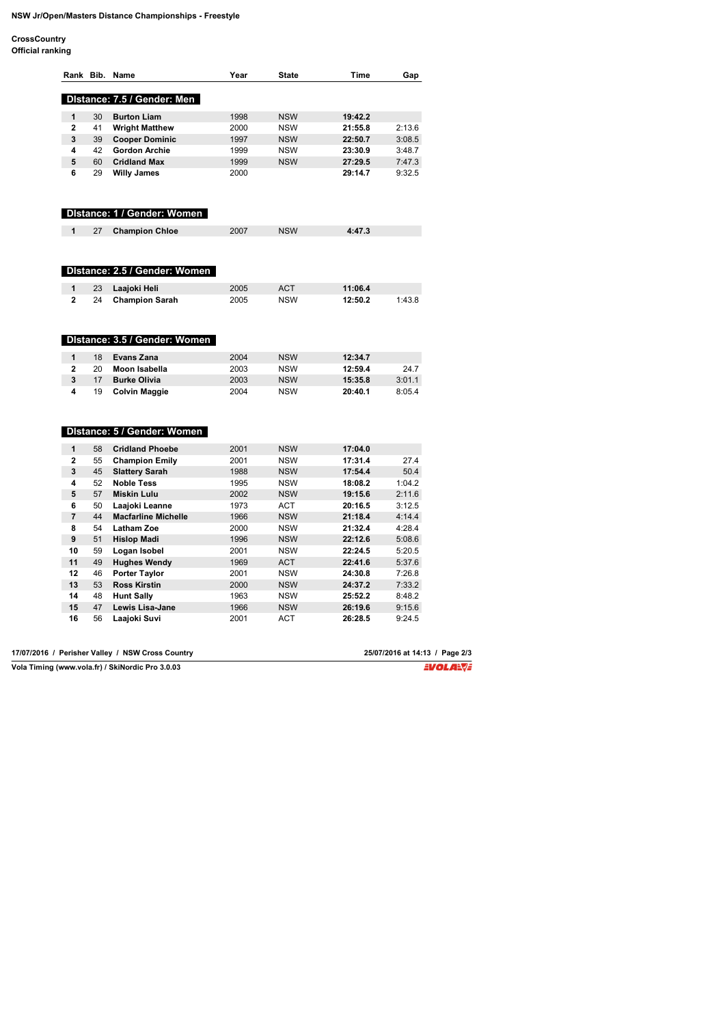## **NSW Jr/Open/Masters Distance Championships - Freestyle**

**CrossCountry**

|                         |          | Rank Bib. Name                                      | Year         | <b>State</b>             | Time               | Gap    |
|-------------------------|----------|-----------------------------------------------------|--------------|--------------------------|--------------------|--------|
|                         |          |                                                     |              |                          |                    |        |
|                         |          | Distance: 7.5 / Gender: Men                         |              |                          |                    |        |
| 1                       | 30       | <b>Burton Liam</b>                                  | 1998         | <b>NSW</b>               | 19:42.2            |        |
| 2                       | 41       | <b>Wright Matthew</b>                               | 2000         | <b>NSW</b>               | 21:55.8            | 2:13.6 |
| 3                       | 39       | <b>Cooper Dominic</b>                               | 1997         | <b>NSW</b>               | 22:50.7            | 3:08.5 |
| 4                       | 42       | <b>Gordon Archie</b>                                | 1999         | <b>NSW</b>               | 23:30.9            | 3:48.7 |
| 5                       | 60       | <b>Cridland Max</b>                                 | 1999         | <b>NSW</b>               | 27:29.5            | 7:47.3 |
| 6                       | 29       | <b>Willy James</b>                                  | 2000         |                          | 29:14.7            | 9:32.5 |
|                         |          | Distance: 1 / Gender: Women                         |              |                          |                    |        |
| 1                       | 27       | <b>Champion Chloe</b>                               | 2007         | <b>NSW</b>               | 4:47.3             |        |
|                         |          | Distance: 2.5 / Gender: Women                       |              |                          |                    |        |
| 1                       | 23       | Laajoki Heli                                        | 2005         | <b>ACT</b>               | 11:06.4            |        |
| $\overline{\mathbf{c}}$ | 24       | <b>Champion Sarah</b>                               | 2005         | <b>NSW</b>               | 12:50.2            | 1:43.8 |
|                         |          | Distance: 3.5 / Gender: Women                       |              |                          |                    |        |
| 1                       | 18       | Evans Zana                                          | 2004         | <b>NSW</b>               | 12:34.7            |        |
| $\overline{\mathbf{c}}$ | 20       | Moon Isabella                                       | 2003         | <b>NSW</b>               | 12:59.4            | 24.7   |
| 3                       | 17       | <b>Burke Olivia</b>                                 | 2003         | <b>NSW</b>               | 15:35.8            | 3:01.1 |
| 4                       | 19       | <b>Colvin Maggie</b><br>Distance: 5 / Gender: Women | 2004         | <b>NSW</b>               | 20:40.1            | 8:05.4 |
|                         |          |                                                     |              |                          |                    |        |
| 1<br>2                  | 58<br>55 | <b>Cridland Phoebe</b>                              | 2001<br>2001 | <b>NSW</b><br><b>NSW</b> | 17:04.0<br>17:31.4 | 27.4   |
| 3                       | 45       | <b>Champion Emily</b>                               | 1988         | <b>NSW</b>               | 17:54.4            | 50.4   |
| 4                       | 52       | <b>Slattery Sarah</b>                               |              |                          |                    |        |
|                         |          | <b>Noble Tess</b>                                   | 1995         | <b>NSW</b>               | 18:08.2            | 1:04.2 |
| 5                       | 57       | <b>Miskin Lulu</b>                                  | 2002         | <b>NSW</b>               | 19:15.6            | 2:11.6 |
| 6                       | 50       | Laajoki Leanne                                      | 1973         | <b>ACT</b>               | 20:16.5            | 3:12.5 |
| $\overline{7}$          | 44       | <b>Macfarline Michelle</b>                          | 1966         | <b>NSW</b>               | 21:18.4            | 4:14.4 |
| 8                       | 54       | <b>Latham Zoe</b>                                   | 2000         | <b>NSW</b>               | 21:32.4            | 4:28.4 |
| 9                       | 51       | <b>Hislop Madi</b>                                  | 1996         | <b>NSW</b>               | 22:12.6            | 5:08.6 |
| 10                      | 59       | Logan Isobel                                        | 2001         | <b>NSW</b>               | 22:24.5            | 5:20.5 |
| 11                      | 49       | <b>Hughes Wendy</b>                                 | 1969         | <b>ACT</b>               | 22:41.6            | 5:37.6 |
| 12                      | 46       | <b>Porter Taylor</b>                                | 2001         | <b>NSW</b>               | 24:30.8            | 7:26.8 |
| 13                      | 53       | <b>Ross Kirstin</b>                                 | 2000         | <b>NSW</b>               | 24:37.2            | 7:33.2 |
| 14                      | 48       | <b>Hunt Sally</b>                                   | 1963         | <b>NSW</b>               | 25:52.2            | 8:48.2 |
| 15                      | 47       | Lewis Lisa-Jane                                     | 1966         | <b>NSW</b>               | 26:19.6            | 9:15.6 |
| 16                      | 56       | Laaioki Suvi                                        | 2001         | <b>ACT</b>               | 26:28.5            | 9:24.5 |

| 17/07/2016 / Perisher Valley / NSW Cross Country | 25/07/2016 at 14:13 / Page 2/3 |
|--------------------------------------------------|--------------------------------|
| Vola Timing (www.vola.fr) / SkiNordic Pro 3.0.03 | EVOLANCE                       |